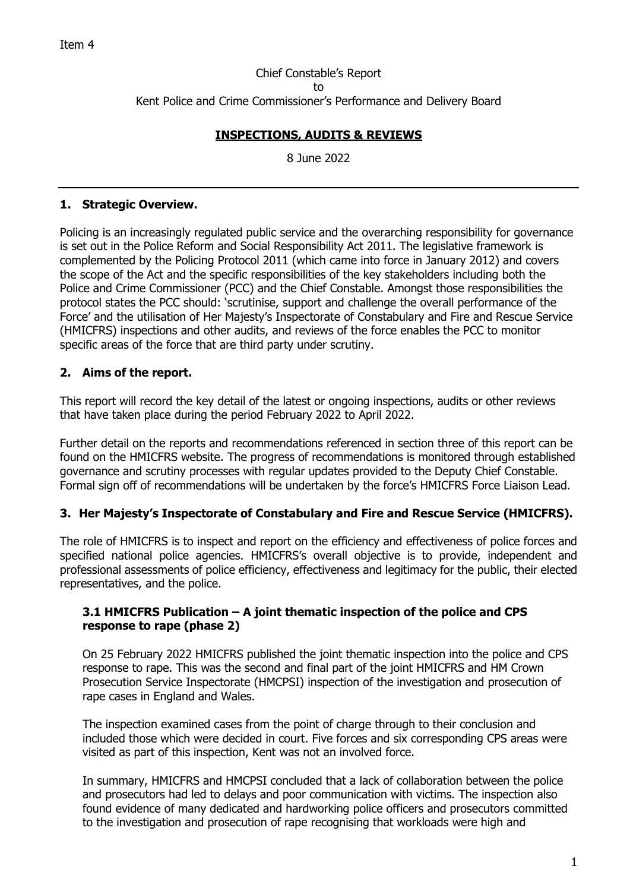Chief Constable's Report to Kent Police and Crime Commissioner's Performance and Delivery Board

# **INSPECTIONS, AUDITS & REVIEWS**

8 June 2022

## **1. Strategic Overview.**

Policing is an increasingly regulated public service and the overarching responsibility for governance is set out in the Police Reform and Social Responsibility Act 2011. The legislative framework is complemented by the Policing Protocol 2011 (which came into force in January 2012) and covers the scope of the Act and the specific responsibilities of the key stakeholders including both the Police and Crime Commissioner (PCC) and the Chief Constable. Amongst those responsibilities the protocol states the PCC should: 'scrutinise, support and challenge the overall performance of the Force' and the utilisation of Her Majesty's Inspectorate of Constabulary and Fire and Rescue Service (HMICFRS) inspections and other audits, and reviews of the force enables the PCC to monitor specific areas of the force that are third party under scrutiny.

# **2. Aims of the report.**

This report will record the key detail of the latest or ongoing inspections, audits or other reviews that have taken place during the period February 2022 to April 2022.

Further detail on the reports and recommendations referenced in section three of this report can be found on the HMICFRS website. The progress of recommendations is monitored through established governance and scrutiny processes with regular updates provided to the Deputy Chief Constable. Formal sign off of recommendations will be undertaken by the force's HMICFRS Force Liaison Lead.

# **3. Her Majesty's Inspectorate of Constabulary and Fire and Rescue Service (HMICFRS).**

The role of HMICFRS is to inspect and report on the efficiency and effectiveness of police forces and specified national police agencies. HMICFRS's overall objective is to provide, independent and professional assessments of police efficiency, effectiveness and legitimacy for the public, their elected representatives, and the police.

#### **3.1 HMICFRS Publication – A joint thematic inspection of the police and CPS response to rape (phase 2)**

On 25 February 2022 HMICFRS published the joint thematic inspection into the police and CPS response to rape. This was the second and final part of the joint HMICFRS and HM Crown Prosecution Service Inspectorate (HMCPSI) inspection of the investigation and prosecution of rape cases in England and Wales.

The inspection examined cases from the point of charge through to their conclusion and included those which were decided in court. Five forces and six corresponding CPS areas were visited as part of this inspection, Kent was not an involved force.

In summary, HMICFRS and HMCPSI concluded that a lack of collaboration between the police and prosecutors had led to delays and poor communication with victims. The inspection also found evidence of many dedicated and hardworking police officers and prosecutors committed to the investigation and prosecution of rape recognising that workloads were high and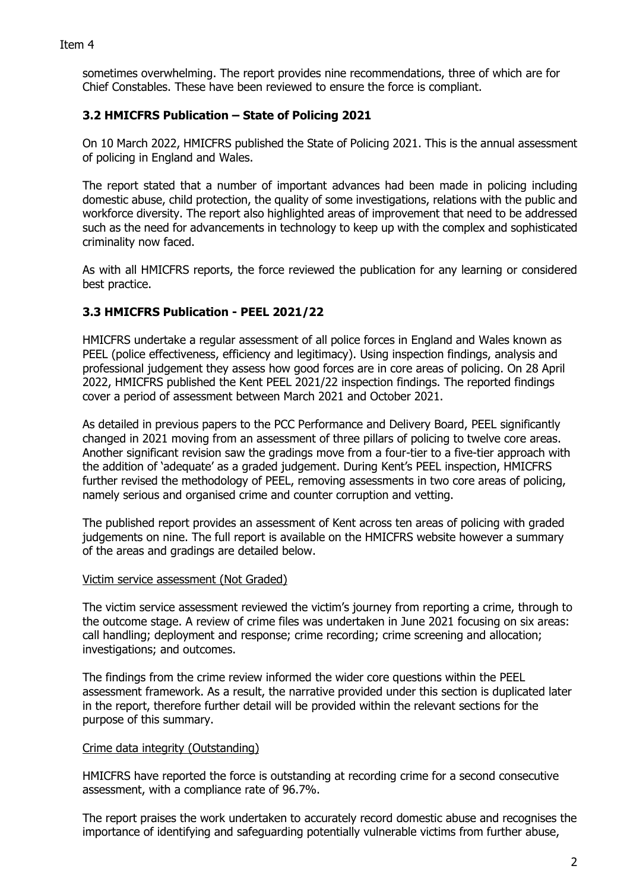sometimes overwhelming. The report provides nine recommendations, three of which are for Chief Constables. These have been reviewed to ensure the force is compliant.

## **3.2 HMICFRS Publication – State of Policing 2021**

On 10 March 2022, HMICFRS published the State of Policing 2021. This is the annual assessment of policing in England and Wales.

The report stated that a number of important advances had been made in policing including domestic abuse, child protection, the quality of some investigations, relations with the public and workforce diversity. The report also highlighted areas of improvement that need to be addressed such as the need for advancements in technology to keep up with the complex and sophisticated criminality now faced.

As with all HMICFRS reports, the force reviewed the publication for any learning or considered best practice.

# **3.3 HMICFRS Publication - PEEL 2021/22**

HMICFRS undertake a regular assessment of all police forces in England and Wales known as PEEL (police effectiveness, efficiency and legitimacy). Using inspection findings, analysis and professional judgement they assess how good forces are in core areas of policing. On 28 April 2022, HMICFRS published the Kent PEEL 2021/22 inspection findings. The reported findings cover a period of assessment between March 2021 and October 2021.

As detailed in previous papers to the PCC Performance and Delivery Board, PEEL significantly changed in 2021 moving from an assessment of three pillars of policing to twelve core areas. Another significant revision saw the gradings move from a four-tier to a five-tier approach with the addition of 'adequate' as a graded judgement. During Kent's PEEL inspection, HMICFRS further revised the methodology of PEEL, removing assessments in two core areas of policing, namely serious and organised crime and counter corruption and vetting.

The published report provides an assessment of Kent across ten areas of policing with graded judgements on nine. The full report is available on the HMICFRS website however a summary of the areas and gradings are detailed below.

## Victim service assessment (Not Graded)

The victim service assessment reviewed the victim's journey from reporting a crime, through to the outcome stage. A review of crime files was undertaken in June 2021 focusing on six areas: call handling; deployment and response; crime recording; crime screening and allocation; investigations; and outcomes.

The findings from the crime review informed the wider core questions within the PEEL assessment framework. As a result, the narrative provided under this section is duplicated later in the report, therefore further detail will be provided within the relevant sections for the purpose of this summary.

## Crime data integrity (Outstanding)

HMICFRS have reported the force is outstanding at recording crime for a second consecutive assessment, with a compliance rate of 96.7%.

The report praises the work undertaken to accurately record domestic abuse and recognises the importance of identifying and safeguarding potentially vulnerable victims from further abuse,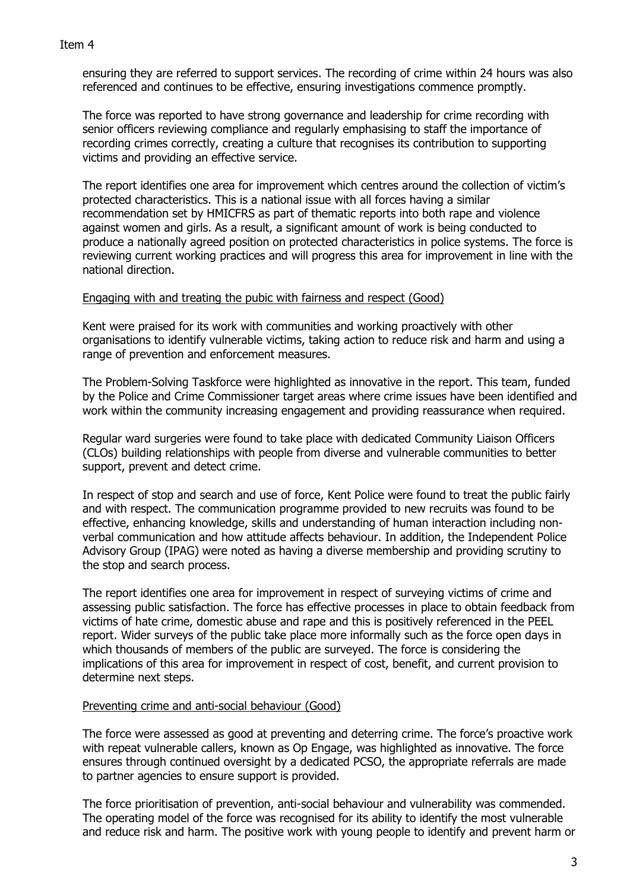ensuring they are referred to support services. The recording of crime within 24 hours was also referenced and continues to be effective, ensuring investigations commence promptly.

The force was reported to have strong governance and leadership for crime recording with senior officers reviewing compliance and regularly emphasising to staff the importance of recording crimes correctly, creating a culture that recognises its contribution to supporting victims and providing an effective service.

The report identifies one area for improvement which centres around the collection of victim's protected characteristics. This is a national issue with all forces having a similar recommendation set by HMICFRS as part of thematic reports into both rape and violence against women and girls. As a result, a significant amount of work is being conducted to produce a nationally agreed position on protected characteristics in police systems. The force is reviewing current working practices and will progress this area for improvement in line with the national direction.

#### Engaging with and treating the pubic with fairness and respect (Good)

Kent were praised for its work with communities and working proactively with other organisations to identify vulnerable victims, taking action to reduce risk and harm and using a range of prevention and enforcement measures.

The Problem-Solving Taskforce were highlighted as innovative in the report. This team, funded by the Police and Crime Commissioner target areas where crime issues have been identified and work within the community increasing engagement and providing reassurance when required.

Regular ward surgeries were found to take place with dedicated Community Liaison Officers (CLOs) building relationships with people from diverse and vulnerable communities to better support, prevent and detect crime.

In respect of stop and search and use of force, Kent Police were found to treat the public fairly and with respect. The communication programme provided to new recruits was found to be effective, enhancing knowledge, skills and understanding of human interaction including nonverbal communication and how attitude affects behaviour. In addition, the Independent Police Advisory Group (IPAG) were noted as having a diverse membership and providing scrutiny to the stop and search process.

The report identifies one area for improvement in respect of surveying victims of crime and assessing public satisfaction. The force has effective processes in place to obtain feedback from victims of hate crime, domestic abuse and rape and this is positively referenced in the PEEL report. Wider surveys of the public take place more informally such as the force open days in which thousands of members of the public are surveyed. The force is considering the implications of this area for improvement in respect of cost, benefit, and current provision to determine next steps.

## Preventing crime and anti-social behaviour (Good)

The force were assessed as good at preventing and deterring crime. The force's proactive work with repeat vulnerable callers, known as Op Engage, was highlighted as innovative. The force ensures through continued oversight by a dedicated PCSO, the appropriate referrals are made to partner agencies to ensure support is provided.

The force prioritisation of prevention, anti-social behaviour and vulnerability was commended. The operating model of the force was recognised for its ability to identify the most vulnerable and reduce risk and harm. The positive work with young people to identify and prevent harm or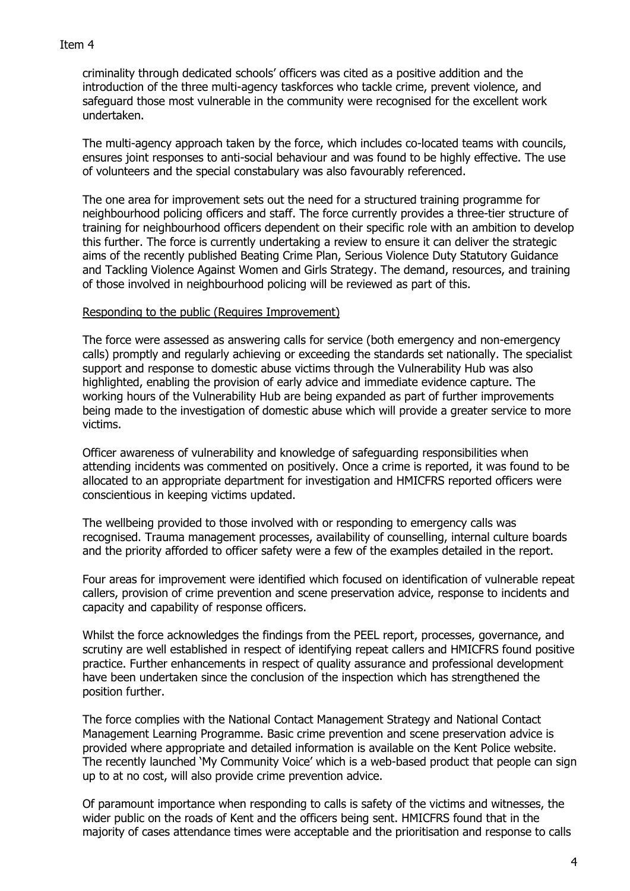#### Item 4

criminality through dedicated schools' officers was cited as a positive addition and the introduction of the three multi-agency taskforces who tackle crime, prevent violence, and safeguard those most vulnerable in the community were recognised for the excellent work undertaken.

The multi-agency approach taken by the force, which includes co-located teams with councils, ensures joint responses to anti-social behaviour and was found to be highly effective. The use of volunteers and the special constabulary was also favourably referenced.

The one area for improvement sets out the need for a structured training programme for neighbourhood policing officers and staff. The force currently provides a three-tier structure of training for neighbourhood officers dependent on their specific role with an ambition to develop this further. The force is currently undertaking a review to ensure it can deliver the strategic aims of the recently published Beating Crime Plan, Serious Violence Duty Statutory Guidance and Tackling Violence Against Women and Girls Strategy. The demand, resources, and training of those involved in neighbourhood policing will be reviewed as part of this.

#### Responding to the public (Requires Improvement)

The force were assessed as answering calls for service (both emergency and non-emergency calls) promptly and regularly achieving or exceeding the standards set nationally. The specialist support and response to domestic abuse victims through the Vulnerability Hub was also highlighted, enabling the provision of early advice and immediate evidence capture. The working hours of the Vulnerability Hub are being expanded as part of further improvements being made to the investigation of domestic abuse which will provide a greater service to more victims.

Officer awareness of vulnerability and knowledge of safeguarding responsibilities when attending incidents was commented on positively. Once a crime is reported, it was found to be allocated to an appropriate department for investigation and HMICFRS reported officers were conscientious in keeping victims updated.

The wellbeing provided to those involved with or responding to emergency calls was recognised. Trauma management processes, availability of counselling, internal culture boards and the priority afforded to officer safety were a few of the examples detailed in the report.

Four areas for improvement were identified which focused on identification of vulnerable repeat callers, provision of crime prevention and scene preservation advice, response to incidents and capacity and capability of response officers.

Whilst the force acknowledges the findings from the PEEL report, processes, governance, and scrutiny are well established in respect of identifying repeat callers and HMICFRS found positive practice. Further enhancements in respect of quality assurance and professional development have been undertaken since the conclusion of the inspection which has strengthened the position further.

The force complies with the National Contact Management Strategy and National Contact Management Learning Programme. Basic crime prevention and scene preservation advice is provided where appropriate and detailed information is available on the Kent Police website. The recently launched 'My Community Voice' which is a web-based product that people can sign up to at no cost, will also provide crime prevention advice.

Of paramount importance when responding to calls is safety of the victims and witnesses, the wider public on the roads of Kent and the officers being sent. HMICFRS found that in the majority of cases attendance times were acceptable and the prioritisation and response to calls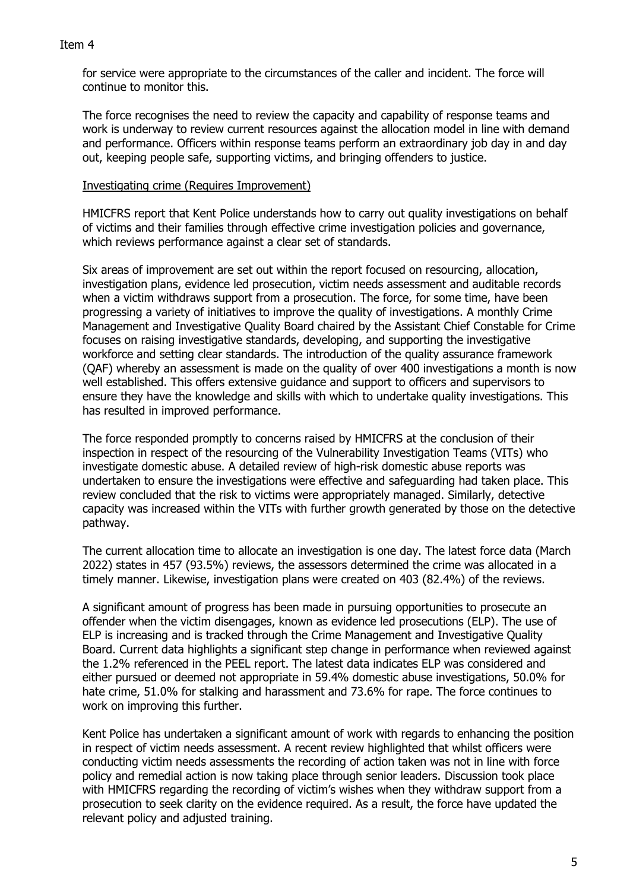#### Item 4

for service were appropriate to the circumstances of the caller and incident. The force will continue to monitor this.

The force recognises the need to review the capacity and capability of response teams and work is underway to review current resources against the allocation model in line with demand and performance. Officers within response teams perform an extraordinary job day in and day out, keeping people safe, supporting victims, and bringing offenders to justice.

#### Investigating crime (Requires Improvement)

HMICFRS report that Kent Police understands how to carry out quality investigations on behalf of victims and their families through effective crime investigation policies and governance, which reviews performance against a clear set of standards.

Six areas of improvement are set out within the report focused on resourcing, allocation, investigation plans, evidence led prosecution, victim needs assessment and auditable records when a victim withdraws support from a prosecution. The force, for some time, have been progressing a variety of initiatives to improve the quality of investigations. A monthly Crime Management and Investigative Quality Board chaired by the Assistant Chief Constable for Crime focuses on raising investigative standards, developing, and supporting the investigative workforce and setting clear standards. The introduction of the quality assurance framework (QAF) whereby an assessment is made on the quality of over 400 investigations a month is now well established. This offers extensive guidance and support to officers and supervisors to ensure they have the knowledge and skills with which to undertake quality investigations. This has resulted in improved performance.

The force responded promptly to concerns raised by HMICFRS at the conclusion of their inspection in respect of the resourcing of the Vulnerability Investigation Teams (VITs) who investigate domestic abuse. A detailed review of high-risk domestic abuse reports was undertaken to ensure the investigations were effective and safeguarding had taken place. This review concluded that the risk to victims were appropriately managed. Similarly, detective capacity was increased within the VITs with further growth generated by those on the detective pathway.

The current allocation time to allocate an investigation is one day. The latest force data (March 2022) states in 457 (93.5%) reviews, the assessors determined the crime was allocated in a timely manner. Likewise, investigation plans were created on 403 (82.4%) of the reviews.

A significant amount of progress has been made in pursuing opportunities to prosecute an offender when the victim disengages, known as evidence led prosecutions (ELP). The use of ELP is increasing and is tracked through the Crime Management and Investigative Quality Board. Current data highlights a significant step change in performance when reviewed against the 1.2% referenced in the PEEL report. The latest data indicates ELP was considered and either pursued or deemed not appropriate in 59.4% domestic abuse investigations, 50.0% for hate crime, 51.0% for stalking and harassment and 73.6% for rape. The force continues to work on improving this further.

Kent Police has undertaken a significant amount of work with regards to enhancing the position in respect of victim needs assessment. A recent review highlighted that whilst officers were conducting victim needs assessments the recording of action taken was not in line with force policy and remedial action is now taking place through senior leaders. Discussion took place with HMICFRS regarding the recording of victim's wishes when they withdraw support from a prosecution to seek clarity on the evidence required. As a result, the force have updated the relevant policy and adjusted training.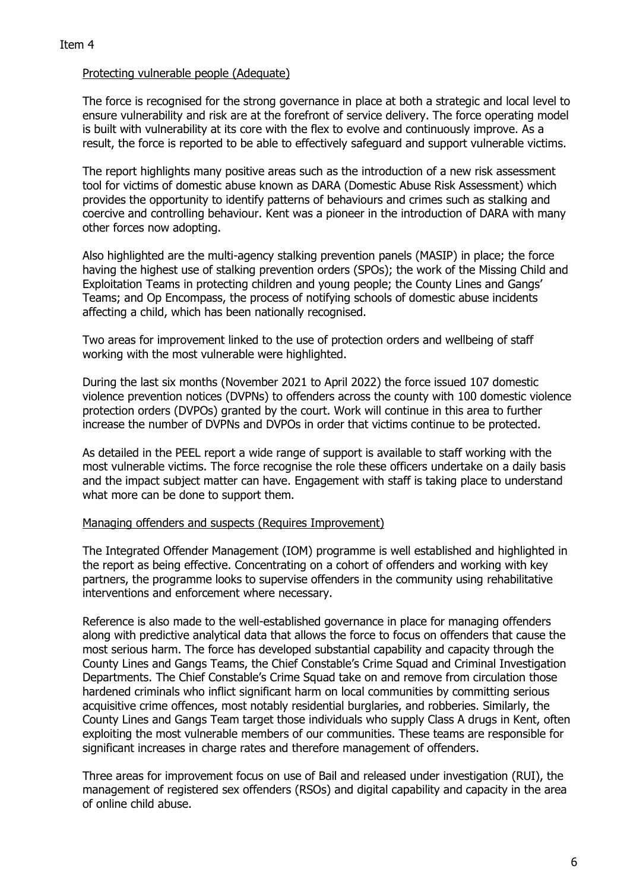## Protecting vulnerable people (Adequate)

The force is recognised for the strong governance in place at both a strategic and local level to ensure vulnerability and risk are at the forefront of service delivery. The force operating model is built with vulnerability at its core with the flex to evolve and continuously improve. As a result, the force is reported to be able to effectively safeguard and support vulnerable victims.

The report highlights many positive areas such as the introduction of a new risk assessment tool for victims of domestic abuse known as DARA (Domestic Abuse Risk Assessment) which provides the opportunity to identify patterns of behaviours and crimes such as stalking and coercive and controlling behaviour. Kent was a pioneer in the introduction of DARA with many other forces now adopting.

Also highlighted are the multi-agency stalking prevention panels (MASIP) in place; the force having the highest use of stalking prevention orders (SPOs); the work of the Missing Child and Exploitation Teams in protecting children and young people; the County Lines and Gangs' Teams; and Op Encompass, the process of notifying schools of domestic abuse incidents affecting a child, which has been nationally recognised.

Two areas for improvement linked to the use of protection orders and wellbeing of staff working with the most vulnerable were highlighted.

During the last six months (November 2021 to April 2022) the force issued 107 domestic violence prevention notices (DVPNs) to offenders across the county with 100 domestic violence protection orders (DVPOs) granted by the court. Work will continue in this area to further increase the number of DVPNs and DVPOs in order that victims continue to be protected.

As detailed in the PEEL report a wide range of support is available to staff working with the most vulnerable victims. The force recognise the role these officers undertake on a daily basis and the impact subject matter can have. Engagement with staff is taking place to understand what more can be done to support them.

#### Managing offenders and suspects (Requires Improvement)

The Integrated Offender Management (IOM) programme is well established and highlighted in the report as being effective. Concentrating on a cohort of offenders and working with key partners, the programme looks to supervise offenders in the community using rehabilitative interventions and enforcement where necessary.

Reference is also made to the well-established governance in place for managing offenders along with predictive analytical data that allows the force to focus on offenders that cause the most serious harm. The force has developed substantial capability and capacity through the County Lines and Gangs Teams, the Chief Constable's Crime Squad and Criminal Investigation Departments. The Chief Constable's Crime Squad take on and remove from circulation those hardened criminals who inflict significant harm on local communities by committing serious acquisitive crime offences, most notably residential burglaries, and robberies. Similarly, the County Lines and Gangs Team target those individuals who supply Class A drugs in Kent, often exploiting the most vulnerable members of our communities. These teams are responsible for significant increases in charge rates and therefore management of offenders.

Three areas for improvement focus on use of Bail and released under investigation (RUI), the management of registered sex offenders (RSOs) and digital capability and capacity in the area of online child abuse.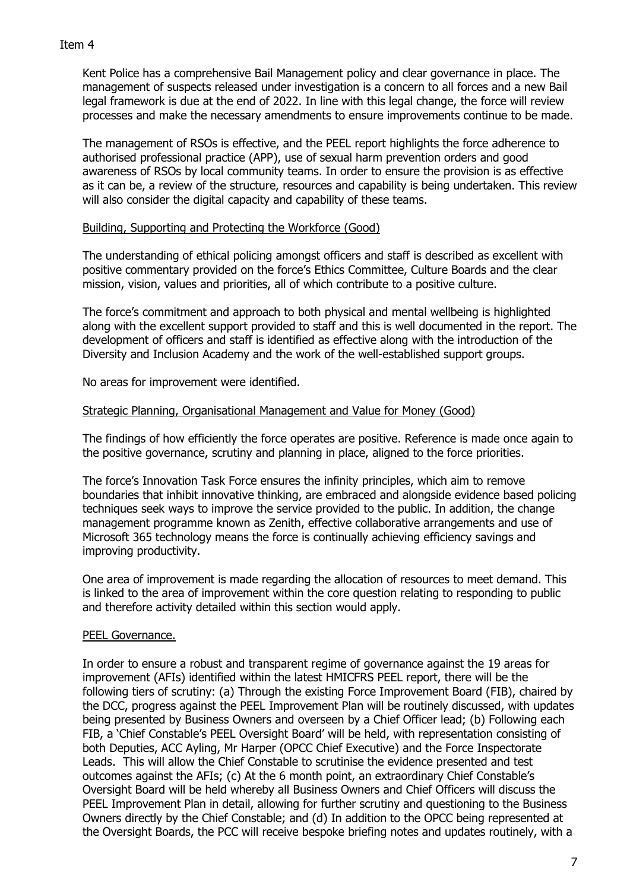Kent Police has a comprehensive Bail Management policy and clear governance in place. The management of suspects released under investigation is a concern to all forces and a new Bail legal framework is due at the end of 2022. In line with this legal change, the force will review processes and make the necessary amendments to ensure improvements continue to be made.

The management of RSOs is effective, and the PEEL report highlights the force adherence to authorised professional practice (APP), use of sexual harm prevention orders and good awareness of RSOs by local community teams. In order to ensure the provision is as effective as it can be, a review of the structure, resources and capability is being undertaken. This review will also consider the digital capacity and capability of these teams.

## Building, Supporting and Protecting the Workforce (Good)

The understanding of ethical policing amongst officers and staff is described as excellent with positive commentary provided on the force's Ethics Committee, Culture Boards and the clear mission, vision, values and priorities, all of which contribute to a positive culture.

The force's commitment and approach to both physical and mental wellbeing is highlighted along with the excellent support provided to staff and this is well documented in the report. The development of officers and staff is identified as effective along with the introduction of the Diversity and Inclusion Academy and the work of the well-established support groups.

No areas for improvement were identified.

#### Strategic Planning, Organisational Management and Value for Money (Good)

The findings of how efficiently the force operates are positive. Reference is made once again to the positive governance, scrutiny and planning in place, aligned to the force priorities.

The force's Innovation Task Force ensures the infinity principles, which aim to remove boundaries that inhibit innovative thinking, are embraced and alongside evidence based policing techniques seek ways to improve the service provided to the public. In addition, the change management programme known as Zenith, effective collaborative arrangements and use of Microsoft 365 technology means the force is continually achieving efficiency savings and improving productivity.

One area of improvement is made regarding the allocation of resources to meet demand. This is linked to the area of improvement within the core question relating to responding to public and therefore activity detailed within this section would apply.

## PEEL Governance.

In order to ensure a robust and transparent regime of governance against the 19 areas for improvement (AFIs) identified within the latest HMICFRS PEEL report, there will be the following tiers of scrutiny: (a) Through the existing Force Improvement Board (FIB), chaired by the DCC, progress against the PEEL Improvement Plan will be routinely discussed, with updates being presented by Business Owners and overseen by a Chief Officer lead; (b) Following each FIB, a 'Chief Constable's PEEL Oversight Board' will be held, with representation consisting of both Deputies, ACC Ayling, Mr Harper (OPCC Chief Executive) and the Force Inspectorate Leads. This will allow the Chief Constable to scrutinise the evidence presented and test outcomes against the AFIs; (c) At the 6 month point, an extraordinary Chief Constable's Oversight Board will be held whereby all Business Owners and Chief Officers will discuss the PEEL Improvement Plan in detail, allowing for further scrutiny and questioning to the Business Owners directly by the Chief Constable; and (d) In addition to the OPCC being represented at the Oversight Boards, the PCC will receive bespoke briefing notes and updates routinely, with a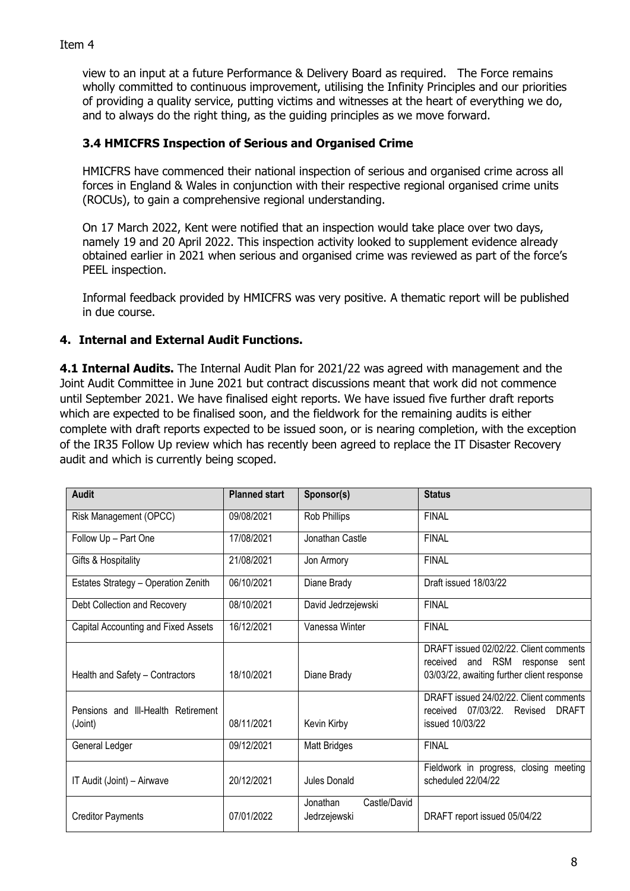view to an input at a future Performance & Delivery Board as required. The Force remains wholly committed to continuous improvement, utilising the Infinity Principles and our priorities of providing a quality service, putting victims and witnesses at the heart of everything we do, and to always do the right thing, as the guiding principles as we move forward.

## **3.4 HMICFRS Inspection of Serious and Organised Crime**

HMICFRS have commenced their national inspection of serious and organised crime across all forces in England & Wales in conjunction with their respective regional organised crime units (ROCUs), to gain a comprehensive regional understanding.

On 17 March 2022, Kent were notified that an inspection would take place over two days, namely 19 and 20 April 2022. This inspection activity looked to supplement evidence already obtained earlier in 2021 when serious and organised crime was reviewed as part of the force's PEEL inspection.

Informal feedback provided by HMICFRS was very positive. A thematic report will be published in due course.

## **4. Internal and External Audit Functions.**

**4.1 Internal Audits.** The Internal Audit Plan for 2021/22 was agreed with management and the Joint Audit Committee in June 2021 but contract discussions meant that work did not commence until September 2021. We have finalised eight reports. We have issued five further draft reports which are expected to be finalised soon, and the fieldwork for the remaining audits is either complete with draft reports expected to be issued soon, or is nearing completion, with the exception of the IR35 Follow Up review which has recently been agreed to replace the IT Disaster Recovery audit and which is currently being scoped.

| <b>Audit</b>                                  | <b>Planned start</b> | Sponsor(s)                               | <b>Status</b>                                                                                                                   |  |  |
|-----------------------------------------------|----------------------|------------------------------------------|---------------------------------------------------------------------------------------------------------------------------------|--|--|
| Risk Management (OPCC)                        | 09/08/2021           | Rob Phillips                             | <b>FINAL</b>                                                                                                                    |  |  |
| Follow Up - Part One                          | 17/08/2021           | Jonathan Castle                          | <b>FINAL</b>                                                                                                                    |  |  |
| Gifts & Hospitality                           | 21/08/2021           | Jon Armory                               | <b>FINAL</b>                                                                                                                    |  |  |
| Estates Strategy - Operation Zenith           | 06/10/2021           | Diane Brady                              | Draft issued 18/03/22                                                                                                           |  |  |
| Debt Collection and Recovery                  | 08/10/2021           | David Jedrzejewski                       | <b>FINAL</b>                                                                                                                    |  |  |
| Capital Accounting and Fixed Assets           | 16/12/2021           | Vanessa Winter                           | <b>FINAL</b>                                                                                                                    |  |  |
| Health and Safety - Contractors               | 18/10/2021           | Diane Brady                              | DRAFT issued 02/02/22. Client comments<br>and RSM<br>received<br>response<br>sent<br>03/03/22, awaiting further client response |  |  |
| Pensions and III-Health Retirement<br>(Joint) | 08/11/2021           | Kevin Kirby                              | DRAFT issued 24/02/22. Client comments<br>received 07/03/22.<br>Revised<br><b>DRAFT</b><br>issued 10/03/22                      |  |  |
| General Ledger                                | 09/12/2021           | <b>Matt Bridges</b>                      | <b>FINAL</b>                                                                                                                    |  |  |
| IT Audit (Joint) - Airwave                    | 20/12/2021           | Jules Donald                             | Fieldwork in progress, closing meeting<br>scheduled 22/04/22                                                                    |  |  |
| <b>Creditor Payments</b>                      | 07/01/2022           | Jonathan<br>Castle/David<br>Jedrzejewski | DRAFT report issued 05/04/22                                                                                                    |  |  |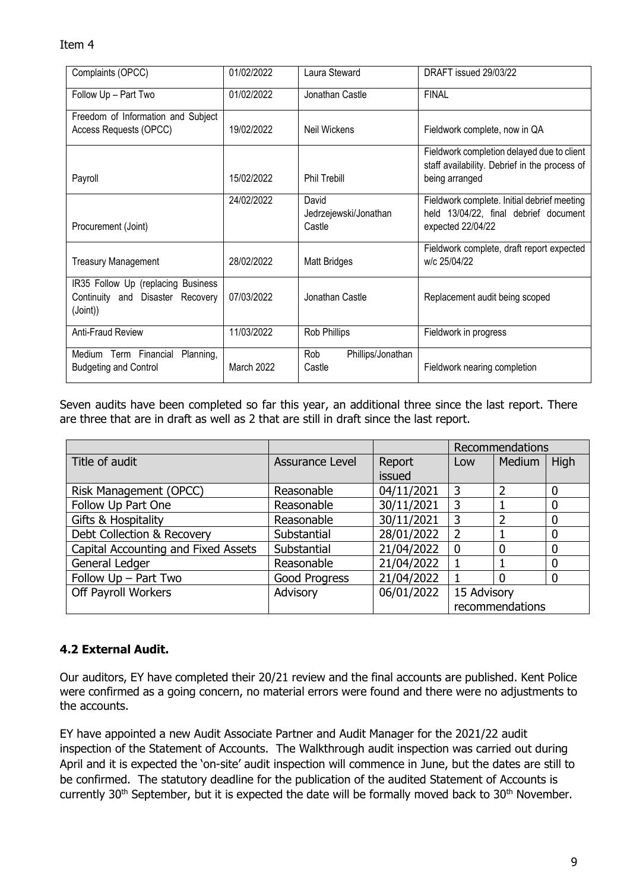### Item 4

| Complaints (OPCC)                                                                  | 01/02/2022 | Laura Steward                            | DRAFT issued 29/03/22                                                                                         |  |
|------------------------------------------------------------------------------------|------------|------------------------------------------|---------------------------------------------------------------------------------------------------------------|--|
| Follow Up - Part Two                                                               | 01/02/2022 | Jonathan Castle                          | <b>FINAL</b>                                                                                                  |  |
| Freedom of Information and Subject<br>Access Requests (OPCC)                       | 19/02/2022 | Neil Wickens                             | Fieldwork complete, now in QA                                                                                 |  |
| Payroll                                                                            | 15/02/2022 | Phil Trebill                             | Fieldwork completion delayed due to client<br>staff availability. Debrief in the process of<br>being arranged |  |
| Procurement (Joint)                                                                | 24/02/2022 | David<br>Jedrzejewski/Jonathan<br>Castle | Fieldwork complete. Initial debrief meeting<br>held 13/04/22, final debrief document<br>expected 22/04/22     |  |
| <b>Treasury Management</b>                                                         | 28/02/2022 | <b>Matt Bridges</b>                      | Fieldwork complete, draft report expected<br>w/c 25/04/22                                                     |  |
| IR35 Follow Up (replacing Business<br>Continuity and Disaster Recovery<br>(Joint)) | 07/03/2022 | Jonathan Castle                          | Replacement audit being scoped                                                                                |  |
| Anti-Fraud Review                                                                  | 11/03/2022 | Rob Phillips                             | Fieldwork in progress                                                                                         |  |
| Medium Term Financial<br>Planning,<br><b>Budgeting and Control</b>                 | March 2022 | Rob<br>Phillips/Jonathan<br>Castle       | Fieldwork nearing completion                                                                                  |  |

Seven audits have been completed so far this year, an additional three since the last report. There are three that are in draft as well as 2 that are still in draft since the last report.

|                                     |                 |            | Recommendations |                |             |
|-------------------------------------|-----------------|------------|-----------------|----------------|-------------|
| Title of audit                      | Assurance Level | Report     | Low             | Medium         | High        |
|                                     |                 | issued     |                 |                |             |
| Risk Management (OPCC)              | Reasonable      | 04/11/2021 | $\overline{3}$  | 2              | $\Omega$    |
| Follow Up Part One                  | Reasonable      | 30/11/2021 | 3               |                | $\mathbf 0$ |
| Gifts & Hospitality                 | Reasonable      | 30/11/2021 | 3               | $\overline{2}$ | $\mathbf 0$ |
| Debt Collection & Recovery          | Substantial     | 28/01/2022 | 2               |                | $\Omega$    |
| Capital Accounting and Fixed Assets | Substantial     | 21/04/2022 | $\mathbf{0}$    | $\mathbf 0$    | $\mathbf 0$ |
| General Ledger                      | Reasonable      | 21/04/2022 |                 |                | $\mathbf 0$ |
| Follow Up - Part Two                | Good Progress   | 21/04/2022 |                 | 0              | $\mathbf 0$ |
| Off Payroll Workers                 | Advisory        | 06/01/2022 | 15 Advisory     |                |             |
|                                     |                 |            | recommendations |                |             |

# **4.2 External Audit.**

Our auditors, EY have completed their 20/21 review and the final accounts are published. Kent Police were confirmed as a going concern, no material errors were found and there were no adjustments to the accounts.

EY have appointed a new Audit Associate Partner and Audit Manager for the 2021/22 audit inspection of the Statement of Accounts. The Walkthrough audit inspection was carried out during April and it is expected the 'on-site' audit inspection will commence in June, but the dates are still to be confirmed. The statutory deadline for the publication of the audited Statement of Accounts is currently 30<sup>th</sup> September, but it is expected the date will be formally moved back to 30<sup>th</sup> November.